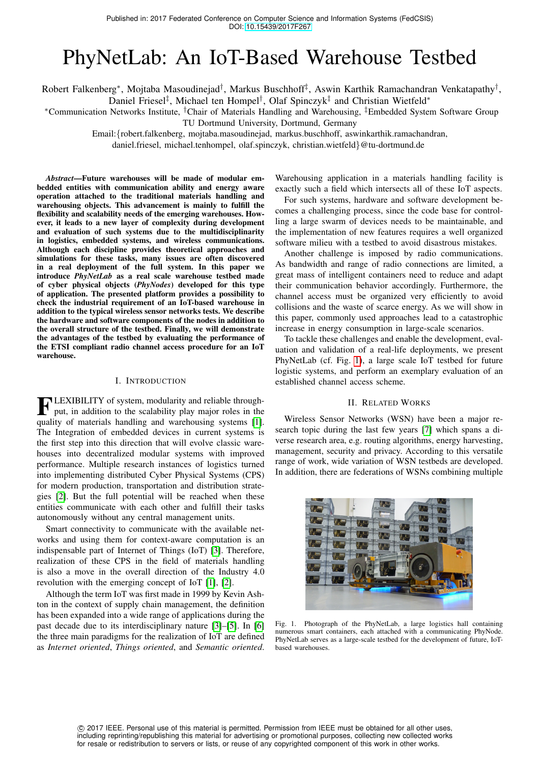# PhyNetLab: An IoT-Based Warehouse Testbed

Robert Falkenberg\*, Mojtaba Masoudinejad<sup>†</sup>, Markus Buschhoff‡, Aswin Karthik Ramachandran Venkatapathy<sup>†</sup>,

Daniel Friesel<sup>‡</sup>, Michael ten Hompel<sup>†</sup>, Olaf Spinczyk<sup>‡</sup> and Christian Wietfeld<sup>∗</sup>

<sup>∗</sup>Communication Networks Institute, †Chair of Materials Handling and Warehousing, ‡Embedded System Software Group TU Dortmund University, Dortmund, Germany

Email:{robert.falkenberg, mojtaba.masoudinejad, markus.buschhoff, aswinkarthik.ramachandran,

daniel.friesel, michael.tenhompel, olaf.spinczyk, christian.wietfeld}@tu-dortmund.de

*Abstract*—Future warehouses will be made of modular embedded entities with communication ability and energy aware operation attached to the traditional materials handling and warehousing objects. This advancement is mainly to fulfill the flexibility and scalability needs of the emerging warehouses. However, it leads to a new layer of complexity during development and evaluation of such systems due to the multidisciplinarity in logistics, embedded systems, and wireless communications. Although each discipline provides theoretical approaches and simulations for these tasks, many issues are often discovered in a real deployment of the full system. In this paper we introduce *PhyNetLab* as a real scale warehouse testbed made of cyber physical objects (*PhyNodes*) developed for this type of application. The presented platform provides a possibility to check the industrial requirement of an IoT-based warehouse in addition to the typical wireless sensor networks tests. We describe the hardware and software components of the nodes in addition to the overall structure of the testbed. Finally, we will demonstrate the advantages of the testbed by evaluating the performance of the ETSI compliant radio channel access procedure for an IoT warehouse.

## I. INTRODUCTION

**F** LEXIBILITY of system, modularity and reliable through-<br>put, in addition to the scalability play major roles in the put, in addition to the scalability play major roles in the quality of materials handling and warehousing systems [\[1\]](#page-4-0). The Integration of embedded devices in current systems is the first step into this direction that will evolve classic warehouses into decentralized modular systems with improved performance. Multiple research instances of logistics turned into implementing distributed Cyber Physical Systems (CPS) for modern production, transportation and distribution strategies [\[2\]](#page-4-1). But the full potential will be reached when these entities communicate with each other and fulfill their tasks autonomously without any central management units.

Smart connectivity to communicate with the available networks and using them for context-aware computation is an indispensable part of Internet of Things (IoT) [\[3\]](#page-4-2). Therefore, realization of these CPS in the field of materials handling is also a move in the overall direction of the Industry 4.0 revolution with the emerging concept of IoT [\[1\]](#page-4-0), [\[2\]](#page-4-1).

Although the term IoT was first made in 1999 by Kevin Ashton in the context of supply chain management, the definition has been expanded into a wide range of applications during the past decade due to its interdisciplinary nature [\[3\]](#page-4-2)–[\[5\]](#page-4-3). In [\[6\]](#page-4-4) the three main paradigms for the realization of IoT are defined as *Internet oriented*, *Things oriented*, and *Semantic oriented*. Warehousing application in a materials handling facility is exactly such a field which intersects all of these IoT aspects.

For such systems, hardware and software development becomes a challenging process, since the code base for controlling a large swarm of devices needs to be maintainable, and the implementation of new features requires a well organized software milieu with a testbed to avoid disastrous mistakes.

Another challenge is imposed by radio communications. As bandwidth and range of radio connections are limited, a great mass of intelligent containers need to reduce and adapt their communication behavior accordingly. Furthermore, the channel access must be organized very efficiently to avoid collisions and the waste of scarce energy. As we will show in this paper, commonly used approaches lead to a catastrophic increase in energy consumption in large-scale scenarios.

To tackle these challenges and enable the development, evaluation and validation of a real-life deployments, we present PhyNetLab (cf. Fig. [1\)](#page-0-0), a large scale IoT testbed for future logistic systems, and perform an exemplary evaluation of an established channel access scheme.

# II. RELATED WORKS

Wireless Sensor Networks (WSN) have been a major research topic during the last few years [\[7\]](#page-4-5) which spans a diverse research area, e.g. routing algorithms, energy harvesting, management, security and privacy. According to this versatile range of work, wide variation of WSN testbeds are developed. In addition, there are federations of WSNs combining multiple

<span id="page-0-0"></span>

Fig. 1. Photograph of the PhyNetLab, a large logistics hall containing numerous smart containers, each attached with a communicating PhyNode. PhyNetLab serves as a large-scale testbed for the development of future, IoTbased warehouses.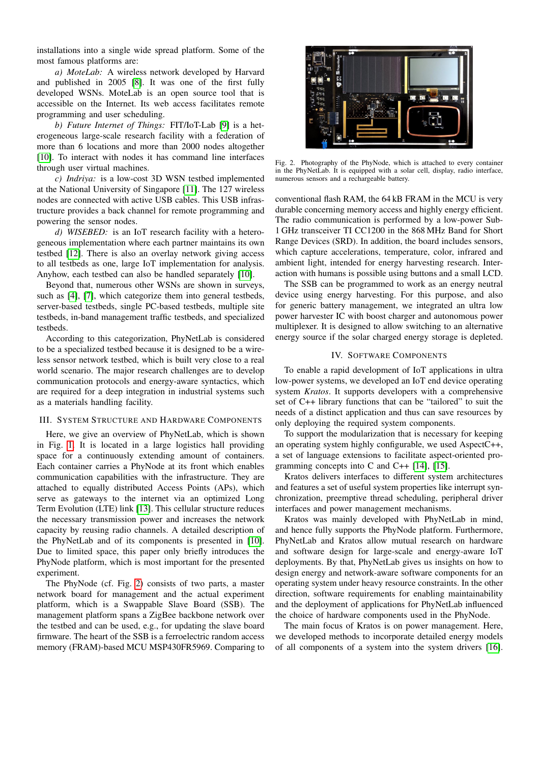installations into a single wide spread platform. Some of the most famous platforms are:

*a) MoteLab:* A wireless network developed by Harvard and published in 2005 [\[8\]](#page-4-6). It was one of the first fully developed WSNs. MoteLab is an open source tool that is accessible on the Internet. Its web access facilitates remote programming and user scheduling.

*b) Future Internet of Things:* FIT/IoT-Lab [\[9\]](#page-4-7) is a heterogeneous large-scale research facility with a federation of more than 6 locations and more than 2000 nodes altogether [\[10\]](#page-4-8). To interact with nodes it has command line interfaces through user virtual machines.

*c) Indriya:* is a low-cost 3D WSN testbed implemented at the National University of Singapore [\[11\]](#page-4-9). The 127 wireless nodes are connected with active USB cables. This USB infrastructure provides a back channel for remote programming and powering the sensor nodes.

*d) WISEBED:* is an IoT research facility with a heterogeneous implementation where each partner maintains its own testbed [\[12\]](#page-4-10). There is also an overlay network giving access to all testbeds as one, large IoT implementation for analysis. Anyhow, each testbed can also be handled separately [\[10\]](#page-4-8).

Beyond that, numerous other WSNs are shown in surveys, such as [\[4\]](#page-4-11), [\[7\]](#page-4-5), which categorize them into general testbeds, server-based testbeds, single PC-based testbeds, multiple site testbeds, in-band management traffic testbeds, and specialized testbeds.

According to this categorization, PhyNetLab is considered to be a specialized testbed because it is designed to be a wireless sensor network testbed, which is built very close to a real world scenario. The major research challenges are to develop communication protocols and energy-aware syntactics, which are required for a deep integration in industrial systems such as a materials handling facility.

# III. SYSTEM STRUCTURE AND HARDWARE COMPONENTS

Here, we give an overview of PhyNetLab, which is shown in Fig. [1.](#page-0-0) It is located in a large logistics hall providing space for a continuously extending amount of containers. Each container carries a PhyNode at its front which enables communication capabilities with the infrastructure. They are attached to equally distributed Access Points (APs), which serve as gateways to the internet via an optimized Long Term Evolution (LTE) link [\[13\]](#page-4-12). This cellular structure reduces the necessary transmission power and increases the network capacity by reusing radio channels. A detailed description of the PhyNetLab and of its components is presented in [\[10\]](#page-4-8). Due to limited space, this paper only briefly introduces the PhyNode platform, which is most important for the presented experiment.

The PhyNode (cf. Fig. [2\)](#page-1-0) consists of two parts, a master network board for management and the actual experiment platform, which is a Swappable Slave Board (SSB). The management platform spans a ZigBee backbone network over the testbed and can be used, e.g., for updating the slave board firmware. The heart of the SSB is a ferroelectric random access memory (FRAM)-based MCU MSP430FR5969. Comparing to



Fig. 2. Photography of the PhyNode, which is attached to every container in the PhyNetLab. It is equipped with a solar cell, display, radio interface, numerous sensors and a rechargeable battery.

<span id="page-1-0"></span>conventional flash RAM, the 64 kB FRAM in the MCU is very durable concerning memory access and highly energy efficient. The radio communication is performed by a low-power Sub-1 GHz transceiver TI CC1200 in the 868 MHz Band for Short Range Devices (SRD). In addition, the board includes sensors, which capture accelerations, temperature, color, infrared and ambient light, intended for energy harvesting research. Interaction with humans is possible using buttons and a small LCD.

The SSB can be programmed to work as an energy neutral device using energy harvesting. For this purpose, and also for generic battery management, we integrated an ultra low power harvester IC with boost charger and autonomous power multiplexer. It is designed to allow switching to an alternative energy source if the solar charged energy storage is depleted.

## IV. SOFTWARE COMPONENTS

<span id="page-1-1"></span>To enable a rapid development of IoT applications in ultra low-power systems, we developed an IoT end device operating system *Kratos*. It supports developers with a comprehensive set of C++ library functions that can be "tailored" to suit the needs of a distinct application and thus can save resources by only deploying the required system components.

To support the modularization that is necessary for keeping an operating system highly configurable, we used AspectC++, a set of language extensions to facilitate aspect-oriented programming concepts into C and C++ [\[14\]](#page-4-13), [\[15\]](#page-4-14).

Kratos delivers interfaces to different system architectures and features a set of useful system properties like interrupt synchronization, preemptive thread scheduling, peripheral driver interfaces and power management mechanisms.

Kratos was mainly developed with PhyNetLab in mind, and hence fully supports the PhyNode platform. Furthermore, PhyNetLab and Kratos allow mutual research on hardware and software design for large-scale and energy-aware IoT deployments. By that, PhyNetLab gives us insights on how to design energy and network-aware software components for an operating system under heavy resource constraints. In the other direction, software requirements for enabling maintainability and the deployment of applications for PhyNetLab influenced the choice of hardware components used in the PhyNode.

The main focus of Kratos is on power management. Here, we developed methods to incorporate detailed energy models of all components of a system into the system drivers [\[16\]](#page-4-15).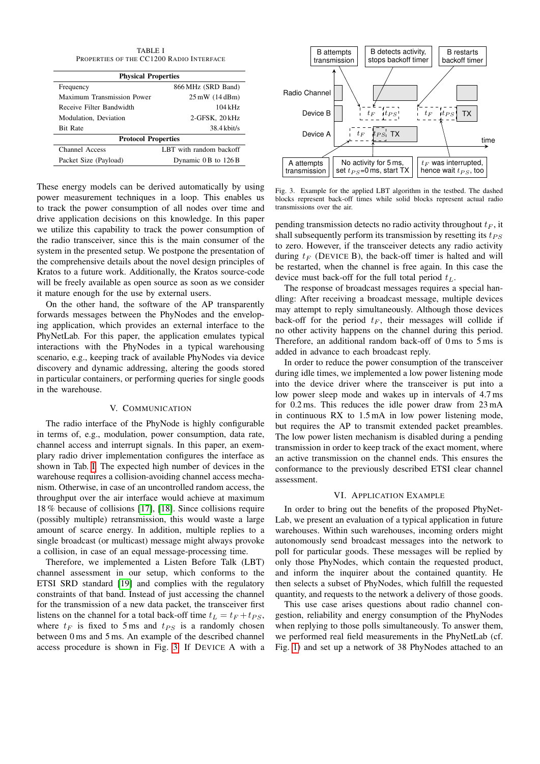TABLE I PROPERTIES OF THE CC1200 RADIO INTERFACE

<span id="page-2-0"></span>

| <b>Physical Properties</b> |                             |
|----------------------------|-----------------------------|
| Frequency                  | 866 MHz (SRD Band)          |
| Maximum Transmission Power | $25 \,\mathrm{mW}$ (14 dBm) |
| Receive Filter Bandwidth   | $104 \text{ kHz}$           |
| Modulation, Deviation      | 2-GFSK, 20 kHz              |
| <b>Bit Rate</b>            | 38.4 kbit/s                 |
| <b>Protocol Properties</b> |                             |
| Channel Access             | LBT with random backoff     |
| Packet Size (Payload)      | Dynamic 0B to 126B          |

These energy models can be derived automatically by using power measurement techniques in a loop. This enables us to track the power consumption of all nodes over time and drive application decisions on this knowledge. In this paper we utilize this capability to track the power consumption of the radio transceiver, since this is the main consumer of the system in the presented setup. We postpone the presentation of the comprehensive details about the novel design principles of Kratos to a future work. Additionally, the Kratos source-code will be freely available as open source as soon as we consider it mature enough for the use by external users.

On the other hand, the software of the AP transparently forwards messages between the PhyNodes and the enveloping application, which provides an external interface to the PhyNetLab. For this paper, the application emulates typical interactions with the PhyNodes in a typical warehousing scenario, e.g., keeping track of available PhyNodes via device discovery and dynamic addressing, altering the goods stored in particular containers, or performing queries for single goods in the warehouse.

# V. COMMUNICATION

<span id="page-2-2"></span>The radio interface of the PhyNode is highly configurable in terms of, e.g., modulation, power consumption, data rate, channel access and interrupt signals. In this paper, an exemplary radio driver implementation configures the interface as shown in Tab. [I.](#page-2-0) The expected high number of devices in the warehouse requires a collision-avoiding channel access mechanism. Otherwise, in case of an uncontrolled random access, the throughput over the air interface would achieve at maximum 18 % because of collisions [\[17\]](#page-4-16), [\[18\]](#page-4-17). Since collisions require (possibly multiple) retransmission, this would waste a large amount of scarce energy. In addition, multiple replies to a single broadcast (or multicast) message might always provoke a collision, in case of an equal message-processing time.

Therefore, we implemented a Listen Before Talk (LBT) channel assessment in our setup, which conforms to the ETSI SRD standard [\[19\]](#page-4-18) and complies with the regulatory constraints of that band. Instead of just accessing the channel for the transmission of a new data packet, the transceiver first listens on the channel for a total back-off time  $t_L = t_F + t_{PS}$ , where  $t_F$  is fixed to 5 ms and  $t_{PS}$  is a randomly chosen between 0 ms and 5 ms. An example of the described channel access procedure is shown in Fig. [3.](#page-2-1) If DEVICE A with a



<span id="page-2-1"></span>Fig. 3. Example for the applied LBT algorithm in the testbed. The dashed blocks represent back-off times while solid blocks represent actual radio transmissions over the air.

pending transmission detects no radio activity throughout  $t_F$ , it shall subsequently perform its transmission by resetting its  $t_{PS}$ to zero. However, if the transceiver detects any radio activity during  $t_F$  (DEVICE B), the back-off timer is halted and will be restarted, when the channel is free again. In this case the device must back-off for the full total period  $t_L$ .

The response of broadcast messages requires a special handling: After receiving a broadcast message, multiple devices may attempt to reply simultaneously. Although those devices back-off for the period  $t_F$ , their messages will collide if no other activity happens on the channel during this period. Therefore, an additional random back-off of 0 ms to 5 ms is added in advance to each broadcast reply.

In order to reduce the power consumption of the transceiver during idle times, we implemented a low power listening mode into the device driver where the transceiver is put into a low power sleep mode and wakes up in intervals of 4.7 ms for 0.2 ms. This reduces the idle power draw from 23 mA in continuous RX to 1.5 mA in low power listening mode, but requires the AP to transmit extended packet preambles. The low power listen mechanism is disabled during a pending transmission in order to keep track of the exact moment, where an active transmission on the channel ends. This ensures the conformance to the previously described ETSI clear channel assessment.

#### VI. APPLICATION EXAMPLE

<span id="page-2-3"></span>In order to bring out the benefits of the proposed PhyNet-Lab, we present an evaluation of a typical application in future warehouses. Within such warehouses, incoming orders might autonomously send broadcast messages into the network to poll for particular goods. These messages will be replied by only those PhyNodes, which contain the requested product, and inform the inquirer about the contained quantity. He then selects a subset of PhyNodes, which fulfill the requested quantity, and requests to the network a delivery of those goods.

This use case arises questions about radio channel congestion, reliability and energy consumption of the PhyNodes when replying to those polls simultaneously. To answer them, we performed real field measurements in the PhyNetLab (cf. Fig. [1\)](#page-0-0) and set up a network of 38 PhyNodes attached to an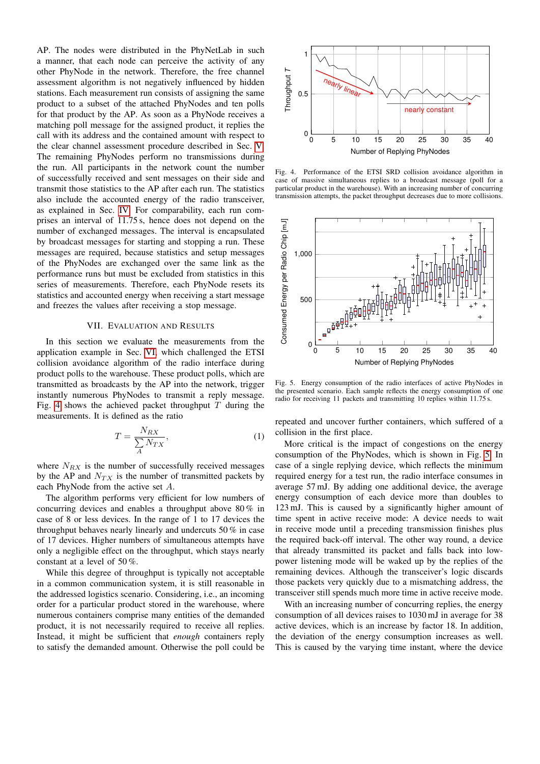AP. The nodes were distributed in the PhyNetLab in such a manner, that each node can perceive the activity of any other PhyNode in the network. Therefore, the free channel assessment algorithm is not negatively influenced by hidden stations. Each measurement run consists of assigning the same product to a subset of the attached PhyNodes and ten polls for that product by the AP. As soon as a PhyNode receives a matching poll message for the assigned product, it replies the call with its address and the contained amount with respect to the clear channel assessment procedure described in Sec. [V.](#page-2-2) The remaining PhyNodes perform no transmissions during the run. All participants in the network count the number of successfully received and sent messages on their side and transmit those statistics to the AP after each run. The statistics also include the accounted energy of the radio transceiver, as explained in Sec. [IV.](#page-1-1) For comparability, each run comprises an interval of 11.75 s, hence does not depend on the number of exchanged messages. The interval is encapsulated by broadcast messages for starting and stopping a run. These messages are required, because statistics and setup messages of the PhyNodes are exchanged over the same link as the performance runs but must be excluded from statistics in this series of measurements. Therefore, each PhyNode resets its statistics and accounted energy when receiving a start message and freezes the values after receiving a stop message.

## VII. EVALUATION AND RESULTS

In this section we evaluate the measurements from the application example in Sec. [VI,](#page-2-3) which challenged the ETSI collision avoidance algorithm of the radio interface during product polls to the warehouse. These product polls, which are transmitted as broadcasts by the AP into the network, trigger instantly numerous PhyNodes to transmit a reply message. Fig. [4](#page-3-0) shows the achieved packet throughput  $T$  during the measurements. It is defined as the ratio

$$
T = \frac{N_{RX}}{\sum_{A} N_{TX}},\tag{1}
$$

where  $N_{RX}$  is the number of successfully received messages by the AP and  $N_{TX}$  is the number of transmitted packets by each PhyNode from the active set A.

The algorithm performs very efficient for low numbers of concurring devices and enables a throughput above 80 % in case of 8 or less devices. In the range of 1 to 17 devices the throughput behaves nearly linearly and undercuts 50 % in case of 17 devices. Higher numbers of simultaneous attempts have only a negligible effect on the throughput, which stays nearly constant at a level of 50 %.

While this degree of throughput is typically not acceptable in a common communication system, it is still reasonable in the addressed logistics scenario. Considering, i.e., an incoming order for a particular product stored in the warehouse, where numerous containers comprise many entities of the demanded product, it is not necessarily required to receive all replies. Instead, it might be sufficient that *enough* containers reply to satisfy the demanded amount. Otherwise the poll could be



<span id="page-3-0"></span>Fig. 4. Performance of the ETSI SRD collision avoidance algorithm in case of massive simultaneous replies to a broadcast message (poll for a particular product in the warehouse). With an increasing number of concurring transmission attempts, the packet throughput decreases due to more collisions.



<span id="page-3-1"></span>Fig. 5. Energy consumption of the radio interfaces of active PhyNodes in the presented scenario. Each sample reflects the energy consumption of one radio for receiving 11 packets and transmitting 10 replies within 11.75 s.

repeated and uncover further containers, which suffered of a collision in the first place.

More critical is the impact of congestions on the energy consumption of the PhyNodes, which is shown in Fig. [5.](#page-3-1) In case of a single replying device, which reflects the minimum required energy for a test run, the radio interface consumes in average 57 mJ. By adding one additional device, the average energy consumption of each device more than doubles to 123 mJ. This is caused by a significantly higher amount of time spent in active receive mode: A device needs to wait in receive mode until a preceding transmission finishes plus the required back-off interval. The other way round, a device that already transmitted its packet and falls back into lowpower listening mode will be waked up by the replies of the remaining devices. Although the transceiver's logic discards those packets very quickly due to a mismatching address, the transceiver still spends much more time in active receive mode.

With an increasing number of concurring replies, the energy consumption of all devices raises to 1030 mJ in average for 38 active devices, which is an increase by factor 18. In addition, the deviation of the energy consumption increases as well. This is caused by the varying time instant, where the device